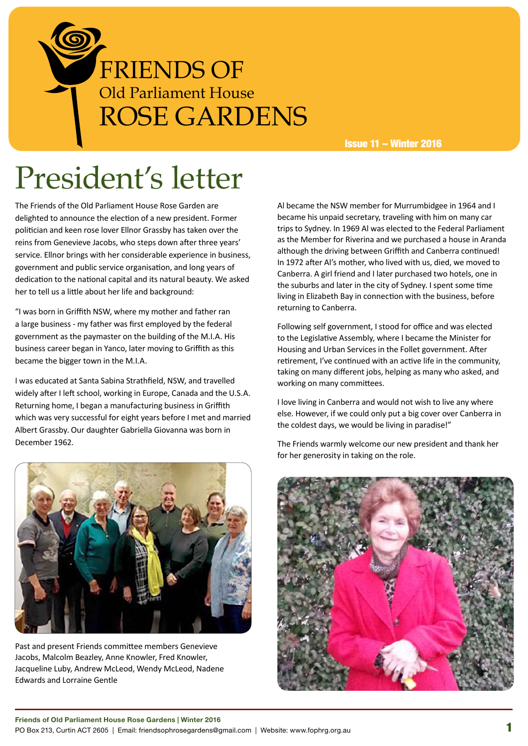

Issue 11 – Winter 2016

# President's letter

The Friends of the Old Parliament House Rose Garden are delighted to announce the election of a new president. Former politician and keen rose lover Ellnor Grassby has taken over the reins from Genevieve Jacobs, who steps down after three years' service. Ellnor brings with her considerable experience in business, government and public service organisation, and long years of dedication to the national capital and its natural beauty. We asked her to tell us a little about her life and background:

"I was born in Griffith NSW, where my mother and father ran a large business - my father was first employed by the federal government as the paymaster on the building of the M.I.A. His business career began in Yanco, later moving to Griffith as this became the bigger town in the M.I.A.

I was educated at Santa Sabina Strathfield, NSW, and travelled widely after I left school, working in Europe, Canada and the U.S.A. Returning home, I began a manufacturing business in Griffith which was very successful for eight years before I met and married Albert Grassby. Our daughter Gabriella Giovanna was born in December 1962.



Past and present Friends committee members Genevieve Jacobs, Malcolm Beazley, Anne Knowler, Fred Knowler, Jacqueline Luby, Andrew McLeod, Wendy McLeod, Nadene Edwards and Lorraine Gentle

Al became the NSW member for Murrumbidgee in 1964 and I became his unpaid secretary, traveling with him on many car trips to Sydney. In 1969 Al was elected to the Federal Parliament as the Member for Riverina and we purchased a house in Aranda although the driving between Griffith and Canberra continued! In 1972 after Al's mother, who lived with us, died, we moved to Canberra. A girl friend and I later purchased two hotels, one in the suburbs and later in the city of Sydney. I spent some time living in Elizabeth Bay in connection with the business, before returning to Canberra.

Following self government, I stood for office and was elected to the Legislative Assembly, where I became the Minister for Housing and Urban Services in the Follet government. After retirement, I've continued with an active life in the community, taking on many different jobs, helping as many who asked, and working on many committees.

I love living in Canberra and would not wish to live any where else. However, if we could only put a big cover over Canberra in the coldest days, we would be living in paradise!"

The Friends warmly welcome our new president and thank her for her generosity in taking on the role.

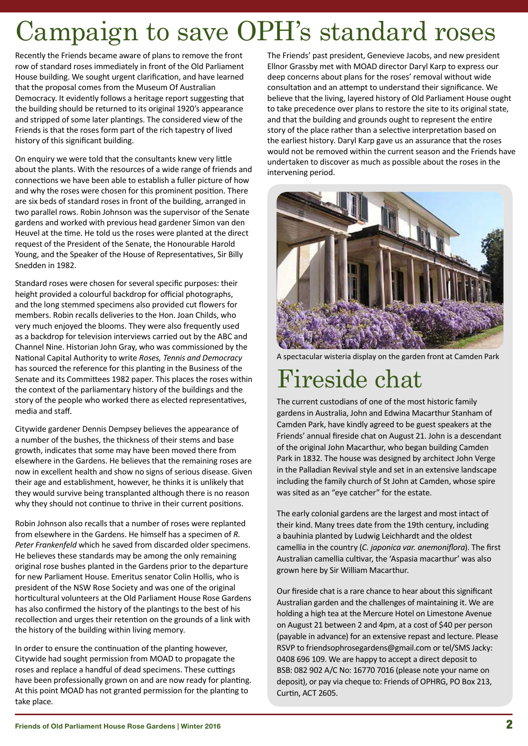# Campaign to save OPH's standard roses

Recently the Friends became aware of plans to remove the front row of standard roses immediately in front of the Old Parliament House building. We sought urgent clarification, and have learned that the proposal comes from the Museum Of Australian Democracy. It evidently follows a heritage report suggesting that the building should be returned to its original 1920's appearance and stripped of some later plantings. The considered view of the Friends is that the roses form part of the rich tapestry of lived history of this significant building.

On enquiry we were told that the consultants knew very little about the plants. With the resources of a wide range of friends and connections we have been able to establish a fuller picture of how and why the roses were chosen for this prominent position. There are six beds of standard roses in front of the building, arranged in two parallel rows. Robin Johnson was the supervisor of the Senate gardens and worked with previous head gardener Simon van den Heuvel at the time. He told us the roses were planted at the direct request of the President of the Senate, the Honourable Harold Young, and the Speaker of the House of Representatives, Sir Billy Snedden in 1982.

Standard roses were chosen for several specific purposes: their height provided a colourful backdrop for official photographs, and the long stemmed specimens also provided cut flowers for members. Robin recalls deliveries to the Hon. Joan Childs, who very much enjoyed the blooms. They were also frequently used as a backdrop for television interviews carried out by the ABC and Channel Nine. Historian John Gray, who was commissioned by the National Capital Authority to write *Roses, Tennis and Democracy* has sourced the reference for this planting in the Business of the Senate and its Committees 1982 paper. This places the roses within the context of the parliamentary history of the buildings and the story of the people who worked there as elected representatives, media and staff.

Citywide gardener Dennis Dempsey believes the appearance of a number of the bushes, the thickness of their stems and base growth, indicates that some may have been moved there from elsewhere in the Gardens. He believes that the remaining roses are now in excellent health and show no signs of serious disease. Given their age and establishment, however, he thinks it is unlikely that they would survive being transplanted although there is no reason why they should not continue to thrive in their current positions.

Robin Johnson also recalls that a number of roses were replanted from elsewhere in the Gardens. He himself has a specimen of *R. Peter Frankenfeld* which he saved from discarded older specimens. He believes these standards may be among the only remaining original rose bushes planted in the Gardens prior to the departure for new Parliament House. Emeritus senator Colin Hollis, who is president of the NSW Rose Society and was one of the original horticultural volunteers at the Old Parliament House Rose Gardens has also confirmed the history of the plantings to the best of his recollection and urges their retention on the grounds of a link with the history of the building within living memory.

In order to ensure the continuation of the planting however, Citywide had sought permission from MOAD to propagate the roses and replace a handful of dead specimens. These cuttings have been professionally grown on and are now ready for planting. At this point MOAD has not granted permission for the planting to take place.

The Friends' past president, Genevieve Jacobs, and new president Ellnor Grassby met with MOAD director Daryl Karp to express our deep concerns about plans for the roses' removal without wide consultation and an attempt to understand their significance. We believe that the living, layered history of Old Parliament House ought to take precedence over plans to restore the site to its original state, and that the building and grounds ought to represent the entire story of the place rather than a selective interpretation based on the earliest history. Daryl Karp gave us an assurance that the roses would not be removed within the current season and the Friends have undertaken to discover as much as possible about the roses in the intervening period.



A spectacular wisteria display on the garden front at Camden Park

## Fireside chat

The current custodians of one of the most historic family gardens in Australia, John and Edwina Macarthur Stanham of Camden Park, have kindly agreed to be guest speakers at the Friends' annual fireside chat on August 21. John is a descendant of the original John Macarthur, who began building Camden Park in 1832. The house was designed by architect John Verge in the Palladian Revival style and set in an extensive landscape including the family church of St John at Camden, whose spire was sited as an "eye catcher" for the estate.

The early colonial gardens are the largest and most intact of their kind. Many trees date from the 19th century, including a bauhinia planted by Ludwig Leichhardt and the oldest camellia in the country (*C. japonica var. anemoniflora*). The first Australian camellia cultivar, the 'Aspasia macarthur' was also grown here by Sir William Macarthur.

Our fireside chat is a rare chance to hear about this significant Australian garden and the challenges of maintaining it. We are holding a high tea at the Mercure Hotel on Limestone Avenue on August 21 between 2 and 4pm, at a cost of \$40 per person (payable in advance) for an extensive repast and lecture. Please RSVP to friendsophrosegardens@gmail.com or tel/SMS Jacky: 0408 696 109. We are happy to accept a direct deposit to BSB: 082 902 A/C No: 16770 7016 (please note your name on deposit), or pay via cheque to: Friends of OPHRG, PO Box 213, Curtin, ACT 2605.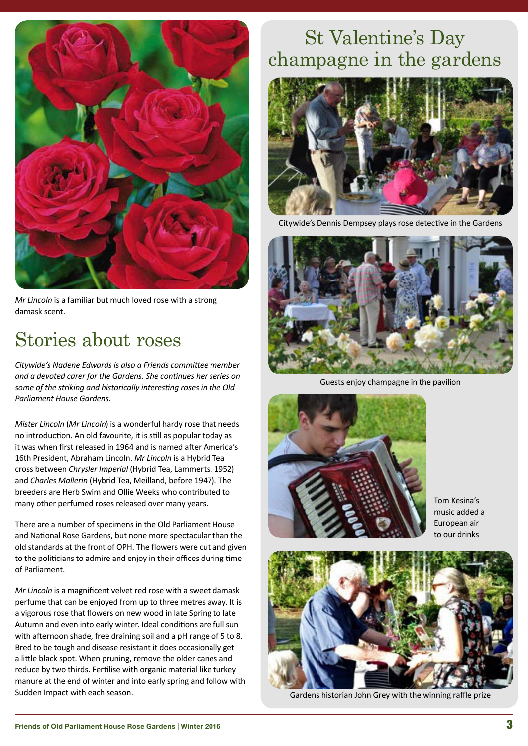

*Mr Lincoln* is a familiar but much loved rose with a strong damask scent.

#### Stories about roses

*Citywide's Nadene Edwards is also a Friends committee member and a devoted carer for the Gardens. She continues her series on some of the striking and historically interesting roses in the Old Parliament House Gardens.*

*Mister Lincoln* (*Mr Lincoln*) is a wonderful hardy rose that needs no introduction. An old favourite, it is still as popular today as it was when first released in 1964 and is named after America's 16th President, Abraham Lincoln. *Mr Lincoln* is a Hybrid Tea cross between *Chrysler Imperial* (Hybrid Tea, Lammerts, 1952) and *Charles Mallerin* (Hybrid Tea, Meilland, before 1947). The breeders are Herb Swim and Ollie Weeks who contributed to many other perfumed roses released over many years.

There are a number of specimens in the Old Parliament House and National Rose Gardens, but none more spectacular than the old standards at the front of OPH. The flowers were cut and given to the politicians to admire and enjoy in their offices during time of Parliament.

*Mr Lincoln* is a magnificent velvet red rose with a sweet damask perfume that can be enjoyed from up to three metres away. It is a vigorous rose that flowers on new wood in late Spring to late Autumn and even into early winter. Ideal conditions are full sun with afternoon shade, free draining soil and a pH range of 5 to 8. Bred to be tough and disease resistant it does occasionally get a little black spot. When pruning, remove the older canes and reduce by two thirds. Fertilise with organic material like turkey manure at the end of winter and into early spring and follow with Sudden Impact with each season.

#### St Valentine's Day champagne in the gardens



Citywide's Dennis Dempsey plays rose detective in the Gardens



Guests enjoy champagne in the pavilion



Tom Kesina's music added a European air to our drinks



Gardens historian John Grey with the winning raffle prize